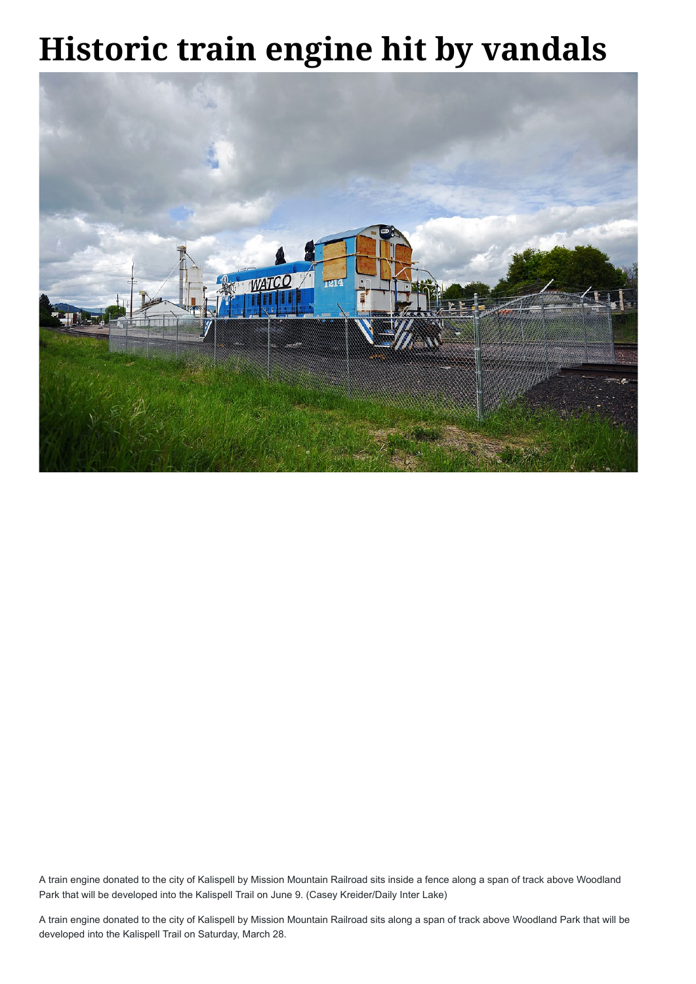## **Historic train engine hit by vandals**



A train engine donated to the city of Kalispell by Mission Mountain Railroad sits inside a fence along a span of track above Woodland Park that will be developed into the Kalispell Trail on June 9. (Casey Kreider/Daily Inter Lake)

A train engine donated to the city of Kalispell by Mission Mountain Railroad sits along a span of track above Woodland Park that will be developed into the Kalispell Trail on Saturday, March 28.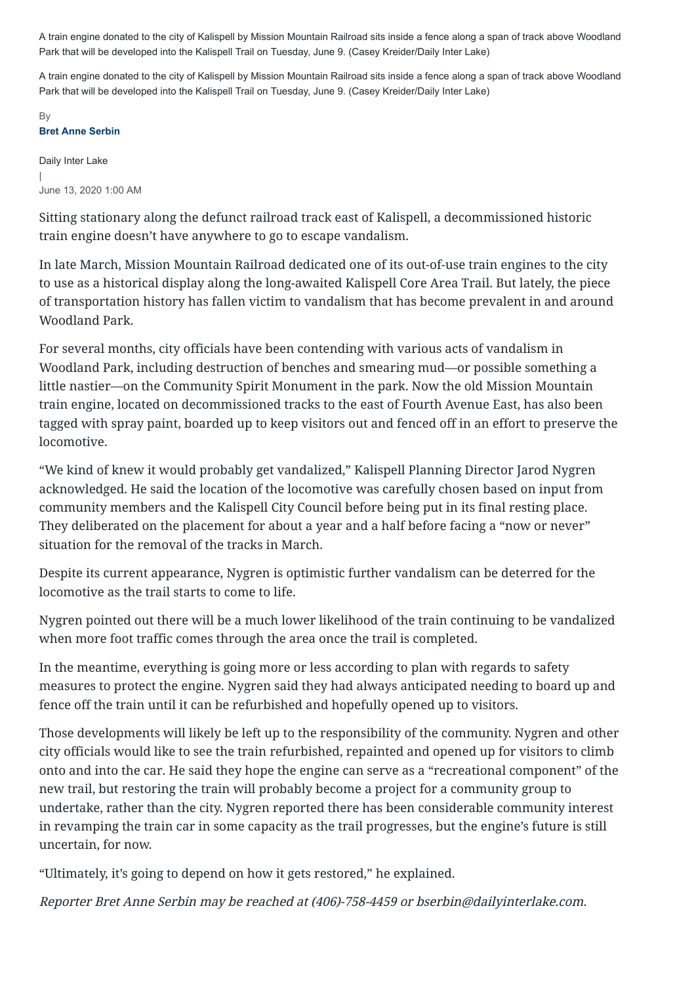```
Daily Inter Lake
|
June 13, 2020 1:00 AM
```
Sitting stationary along the defunct railroad track east of Kalispell, a decommissioned historic train engine doesn't have anywhere to go to escape vandalism.

In late March, Mission Mountain Railroad dedicated one of its out-of-use train engines to the city to use as a historical display along the long-awaited Kalispell Core Area Trail. But lately, the piece of transportation history has fallen victim to vandalism that has become prevalent in and around Woodland Park.

For several months, city officials have been contending with various acts of vandalism in Woodland Park, including destruction of benches and smearing mud—or possible something a little nastier—on the Community Spirit Monument in the park. Now the old Mission Mountain train engine, located on decommissioned tracks to the east of Fourth Avenue East, has also been tagged with spray paint, boarded up to keep visitors out and fenced off in an effort to preserve the locomotive.

"We kind of knew it would probably get vandalized," Kalispell Planning Director Jarod Nygren acknowledged. He said the location of the locomotive was carefully chosen based on input from community members and the Kalispell City Council before being put in its final resting place. They deliberated on the placement for about a year and a half before facing a "now or never" situation for the removal of the tracks in March.

Despite its current appearance, Nygren is optimistic further vandalism can be deterred for the locomotive as the trail starts to come to life.

## **Bret Anne Serbin** By

Nygren pointed out there will be a much lower likelihood of the train continuing to be vandalized when more foot traffic comes through the area once the trail is completed.

In the meantime, everything is going more or less according to plan with regards to safety measures to protect the engine. Nygren said they had always anticipated needing to board up and fence off the train until it can be refurbished and hopefully opened up to visitors.

Those developments will likely be left up to the responsibility of the community. Nygren and other

city officials would like to see the train refurbished, repainted and opened up for visitors to climb onto and into the car. He said they hope the engine can serve as a "recreational component" of the new trail, but restoring the train will probably become a project for a community group to undertake, rather than the city. Nygren reported there has been considerable community interest in revamping the train car in some capacity as the trail progresses, but the engine's future is still uncertain, for now.

"Ultimately, it's going to depend on how it gets restored," he explained.

Reporter Bret Anne Serbin may be reached at (406)-758-4459 or bserbin@dailyinterlake.com.

A train engine donated to the city of Kalispell by Mission Mountain Railroad sits inside a fence along a span of track above Woodland Park that will be developed into the Kalispell Trail on Tuesday, June 9. (Casey Kreider/Daily Inter Lake)

A train engine donated to the city of Kalispell by Mission Mountain Railroad sits inside a fence along a span of track above Woodland Park that will be developed into the Kalispell Trail on Tuesday, June 9. (Casey Kreider/Daily Inter Lake)